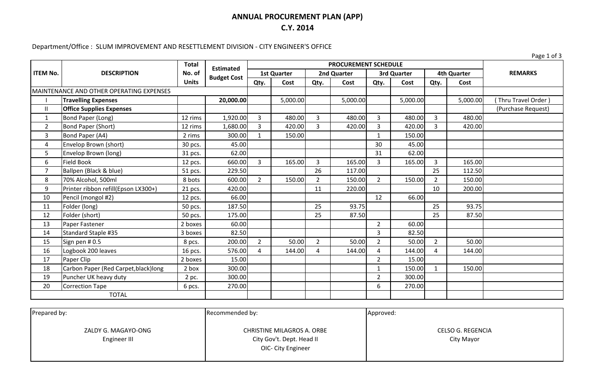### **ANNUAL PROCUREMENT PLAN (APP) C.Y. 2014**

# Department/Office : SLUM IMPROVEMENT AND RESETTLEMENT DIVISION - CITY ENGINEER'S OFFICE

Page 1 of 3

|                 | <b>DESCRIPTION</b>                              | <b>Total</b>           | <b>Estimated</b>   | <b>PROCUREMENT SCHEDULE</b> |          |                |          |                |          |                    |          |                    |
|-----------------|-------------------------------------------------|------------------------|--------------------|-----------------------------|----------|----------------|----------|----------------|----------|--------------------|----------|--------------------|
| <b>ITEM No.</b> |                                                 | No. of<br><b>Units</b> | <b>Budget Cost</b> | <b>1st Quarter</b>          |          | 2nd Quarter    |          | 3rd Quarter    |          | <b>4th Quarter</b> |          | <b>REMARKS</b>     |
|                 |                                                 |                        |                    | Qty.                        | Cost     | Qty.           | Cost     | Qty.           | Cost     | Qty.               | Cost     |                    |
|                 | <b>MAINTENANCE AND OTHER OPERATING EXPENSES</b> |                        |                    |                             |          |                |          |                |          |                    |          |                    |
|                 | <b>Travelling Expenses</b>                      |                        | 20,000.00          |                             | 5,000.00 |                | 5,000.00 |                | 5,000.00 |                    | 5,000.00 | Thru Travel Order) |
| $\mathsf{I}$    | <b>Office Supplies Expenses</b>                 |                        |                    |                             |          |                |          |                |          |                    |          | (Purchase Request) |
| $\mathbf{1}$    | Bond Paper (Long)                               | 12 rims                | 1,920.00           | $\overline{3}$              | 480.00   | 3              | 480.00   | 3              | 480.00   | $\overline{3}$     | 480.00   |                    |
| $\overline{2}$  | <b>Bond Paper (Short)</b>                       | 12 rims                | 1,680.00           | 3                           | 420.00   | $\overline{3}$ | 420.00   | 3              | 420.00   | 3                  | 420.00   |                    |
| 3               | Bond Paper (A4)                                 | 2 rims                 | 300.00             | $\mathbf{1}$                | 150.00   |                |          | $\mathbf{1}$   | 150.00   |                    |          |                    |
| 4               | Envelop Brown (short)                           | 30 pcs.                | 45.00              |                             |          |                |          | 30             | 45.00    |                    |          |                    |
| 5               | Envelop Brown (long)                            | 31 pcs.                | 62.00              |                             |          |                |          | 31             | 62.00    |                    |          |                    |
| 6               | <b>Field Book</b>                               | 12 pcs.                | 660.00             | $\overline{3}$              | 165.00   | 3              | 165.00   | $\overline{3}$ | 165.00   | $\overline{3}$     | 165.00   |                    |
| $\overline{7}$  | Ballpen (Black & blue)                          | 51 pcs.                | 229.50             |                             |          | 26             | 117.00   |                |          | 25                 | 112.50   |                    |
| 8               | 70% Alcohol, 500ml                              | 8 bots                 | 600.00             | $\overline{2}$              | 150.00   | $\overline{2}$ | 150.00   | $2^{\circ}$    | 150.00   | $\overline{2}$     | 150.00   |                    |
| 9               | Printer ribbon refill(Epson LX300+)             | 21 pcs.                | 420.00             |                             |          | 11             | 220.00   |                |          | 10                 | 200.00   |                    |
| 10              | Pencil (mongol #2)                              | 12 pcs.                | 66.00              |                             |          |                |          | 12             | 66.00    |                    |          |                    |
| 11              | Folder (long)                                   | 50 pcs.                | 187.50             |                             |          | 25             | 93.75    |                |          | 25                 | 93.75    |                    |
| 12              | Folder (short)                                  | 50 pcs.                | 175.00             |                             |          | 25             | 87.50    |                |          | 25                 | 87.50    |                    |
| 13              | Paper Fastener                                  | 2 boxes                | 60.00              |                             |          |                |          | $\overline{2}$ | 60.00    |                    |          |                    |
| 14              | Standard Staple #35                             | 3 boxes                | 82.50              |                             |          |                |          | 3              | 82.50    |                    |          |                    |
| 15              | Sign pen # 0.5                                  | 8 pcs.                 | 200.00             | $\overline{2}$              | 50.00    | $\overline{2}$ | 50.00    | $\overline{2}$ | 50.00    | $\overline{2}$     | 50.00    |                    |
| 16              | Logbook 200 leaves                              | 16 pcs.                | 576.00             | $\overline{4}$              | 144.00   | 4              | 144.00   | $\overline{4}$ | 144.00   | 4                  | 144.00   |                    |
| 17              | Paper Clip                                      | 2 boxes                | 15.00              |                             |          |                |          | $\overline{2}$ | 15.00    |                    |          |                    |
| 18              | Carbon Paper (Red Carpet, black) long           | 2 box                  | 300.00             |                             |          |                |          |                | 150.00   |                    | 150.00   |                    |
| 19              | Puncher UK heavy duty                           | 2 pc.                  | 300.00             |                             |          |                |          | $\overline{2}$ | 300.00   |                    |          |                    |
| 20              | <b>Correction Tape</b>                          | 6 pcs.                 | 270.00             |                             |          |                |          | 6              | 270.00   |                    |          |                    |
|                 | <b>TOTAL</b>                                    |                        |                    |                             |          |                |          |                |          |                    |          |                    |

| <b>CELSO G. REGENCIA</b> |                                                                                      |
|--------------------------|--------------------------------------------------------------------------------------|
| City Mayor               |                                                                                      |
|                          | <b>CHRISTINE MILAGROS A. ORBE</b><br>City Gov't. Dept. Head II<br>OIC- City Engineer |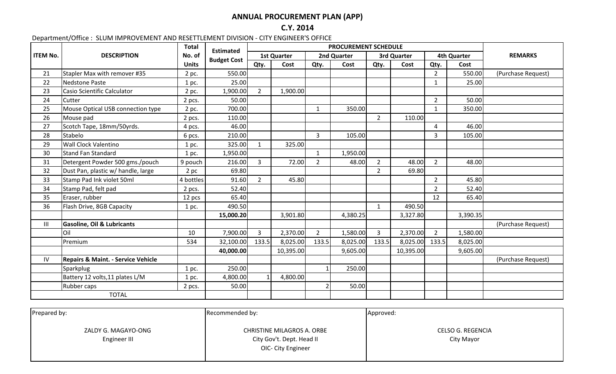## **ANNUAL PROCUREMENT PLAN (APP)**

**C.Y. 2014**

#### Department/Office : SLUM IMPROVEMENT AND RESETTLEMENT DIVISION - CITY ENGINEER'S OFFICE

|                 | <b>DESCRIPTION</b>                            | <b>Total</b> | <b>Estimated</b>   | <b>PROCUREMENT SCHEDULE</b> |           |                |          |                |           |                    |          |                    |
|-----------------|-----------------------------------------------|--------------|--------------------|-----------------------------|-----------|----------------|----------|----------------|-----------|--------------------|----------|--------------------|
| <b>ITEM No.</b> |                                               | No. of       | <b>Budget Cost</b> | <b>1st Quarter</b>          |           | 2nd Quarter    |          | 3rd Quarter    |           | <b>4th Quarter</b> |          | <b>REMARKS</b>     |
|                 |                                               | <b>Units</b> |                    | Qty.                        | Cost      | Qty.           | Cost     | Qty.           | Cost      | Qty.               | Cost     |                    |
| 21              | Stapler Max with remover #35                  | 2 pc.        | 550.00             |                             |           |                |          |                |           | $2^{\circ}$        | 550.00   | (Purchase Request) |
| 22              | <b>Nedstone Paste</b>                         | 1 pc.        | 25.00              |                             |           |                |          |                |           | $\mathbf{1}$       | 25.00    |                    |
| 23              | Casio Scientific Calculator                   | 2 pc.        | 1,900.00           | $2^{\circ}$                 | 1,900.00  |                |          |                |           |                    |          |                    |
| 24              | Cutter                                        | 2 pcs.       | 50.00              |                             |           |                |          |                |           | $\overline{2}$     | 50.00    |                    |
| 25              | Mouse Optical USB connection type             | 2 pc.        | 700.00             |                             |           | $\mathbf{1}$   | 350.00   |                |           | $\mathbf{1}$       | 350.00   |                    |
| 26              | Mouse pad                                     | 2 pcs.       | 110.00             |                             |           |                |          | $\overline{2}$ | 110.00    |                    |          |                    |
| 27              | Scotch Tape, 18mm/50yrds.                     | 4 pcs.       | 46.00              |                             |           |                |          |                |           | $\overline{4}$     | 46.00    |                    |
| 28              | Stabelo                                       | 6 pcs.       | 210.00             |                             |           | $\overline{3}$ | 105.00   |                |           | 3                  | 105.00   |                    |
| 29              | <b>Wall Clock Valentino</b>                   | 1 pc.        | 325.00             | $\mathbf{1}$                | 325.00    |                |          |                |           |                    |          |                    |
| 30              | <b>Stand Fan Standard</b>                     | 1 pc.        | 1,950.00           |                             |           | $\mathbf{1}$   | 1,950.00 |                |           |                    |          |                    |
| 31              | Detergent Powder 500 gms./pouch               | 9 pouch      | 216.00             | $\overline{3}$              | 72.00     | $\overline{2}$ | 48.00    | $\overline{2}$ | 48.00     | $\overline{2}$     | 48.00    |                    |
| 32              | Dust Pan, plastic w/ handle, large            | $2$ pc       | 69.80              |                             |           |                |          | $2^{\circ}$    | 69.80     |                    |          |                    |
| 33              | Stamp Pad Ink violet 50ml                     | 4 bottles    | 91.60              | $\overline{2}$              | 45.80     |                |          |                |           | $2^{\circ}$        | 45.80    |                    |
| 34              | Stamp Pad, felt pad                           | 2 pcs.       | 52.40              |                             |           |                |          |                |           | $2^{\circ}$        | 52.40    |                    |
| 35              | Eraser, rubber                                | 12 pcs       | 65.40              |                             |           |                |          |                |           | 12                 | 65.40    |                    |
| 36              | Flash Drive, 8GB Capacity                     | 1 pc.        | 490.50             |                             |           |                |          | 1              | 490.50    |                    |          |                    |
|                 |                                               |              | 15,000.20          |                             | 3,901.80  |                | 4,380.25 |                | 3,327.80  |                    | 3,390.35 |                    |
| III             | <b>Gasoline, Oil &amp; Lubricants</b>         |              |                    |                             |           |                |          |                |           |                    |          | (Purchase Request) |
|                 | Oil                                           | 10           | 7,900.00           | 3                           | 2,370.00  | $\overline{2}$ | 1,580.00 | 3              | 2,370.00  | $2^{\circ}$        | 1,580.00 |                    |
|                 | Premium                                       | 534          | 32,100.00          | 133.5                       | 8,025.00  | 133.5          | 8,025.00 | 133.5          | 8,025.00  | 133.5              | 8,025.00 |                    |
|                 |                                               |              | 40,000.00          |                             | 10,395.00 |                | 9,605.00 |                | 10,395.00 |                    | 9,605.00 |                    |
| IV              | <b>Repairs &amp; Maint. - Service Vehicle</b> |              |                    |                             |           |                |          |                |           |                    |          | (Purchase Request) |
|                 | Sparkplug                                     | 1 pc.        | 250.00             |                             |           | $\overline{1}$ | 250.00   |                |           |                    |          |                    |
|                 | Battery 12 volts, 11 plates L/M               | 1 pc.        | 4,800.00           |                             | 4,800.00  |                |          |                |           |                    |          |                    |
|                 | Rubber caps                                   | 2 pcs.       | 50.00              |                             |           | $\overline{2}$ | 50.00    |                |           |                    |          |                    |
|                 | <b>TOTAL</b>                                  |              |                    |                             |           |                |          |                |           |                    |          |                    |

| Prepared by:                        | Recommended by:                                                               | Approved:                              |  |  |  |  |
|-------------------------------------|-------------------------------------------------------------------------------|----------------------------------------|--|--|--|--|
| ZALDY G. MAGAYO-ONG<br>Engineer III | CHRISTINE MILAGROS A. ORBE<br>City Gov't. Dept. Head II<br>OIC- City Engineer | <b>CELSO G. REGENCIA</b><br>City Mayor |  |  |  |  |